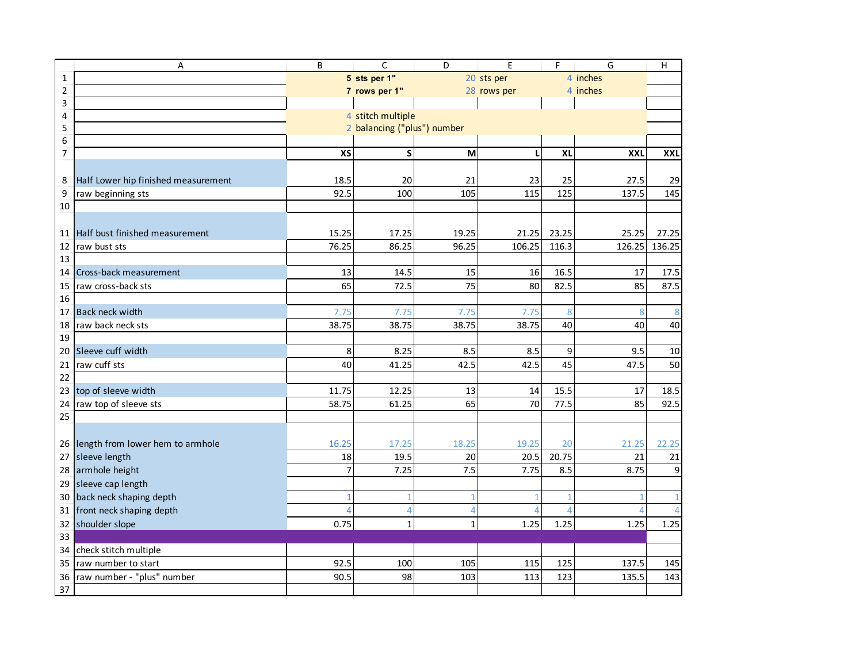|                         | Α                                   | B              | $\mathsf C$                 | D            | E                       | F         | G             | $\mathsf{H}$     |
|-------------------------|-------------------------------------|----------------|-----------------------------|--------------|-------------------------|-----------|---------------|------------------|
| 1                       |                                     |                | 5 sts per 1"                |              | 20 sts per              |           | 4 inches      |                  |
| $\overline{\mathbf{c}}$ |                                     |                | 7 rows per 1"               |              | 28 rows per             |           | 4 inches      |                  |
| 3                       |                                     |                |                             |              |                         |           |               |                  |
| 4                       |                                     |                | 4 stitch multiple           |              |                         |           |               |                  |
| 5                       |                                     |                | 2 balancing ("plus") number |              |                         |           |               |                  |
| 6                       |                                     |                |                             |              |                         |           |               |                  |
| 7                       |                                     | XS             | S                           | M            | L                       | XL        | XXL           | <b>XXL</b>       |
|                         |                                     | 18.5           | 20                          | 21           |                         |           |               |                  |
| 8                       | Half Lower hip finished measurement | 92.5           |                             | 105          | 23<br>115               | 25<br>125 | 27.5<br>137.5 | 29               |
| 9<br>10                 | raw beginning sts                   |                | 100                         |              |                         |           |               | 145              |
|                         |                                     |                |                             |              |                         |           |               |                  |
| 11                      | Half bust finished measurement      | 15.25          | 17.25                       | 19.25        | 21.25                   | 23.25     | 25.25         | 27.25            |
| 12                      | raw bust sts                        | 76.25          | 86.25                       | 96.25        | 106.25                  | 116.3     | 126.25        | 136.25           |
| 13                      |                                     |                |                             |              |                         |           |               |                  |
| 14                      | Cross-back measurement              | 13             | 14.5                        | 15           | 16                      | 16.5      | 17            | 17.5             |
| 15                      | raw cross-back sts                  | 65             | 72.5                        | 75           | 80                      | 82.5      | 85            | 87.5             |
| 16                      |                                     |                |                             |              |                         |           |               |                  |
| 17                      | Back neck width                     | 7.75           | 7.75                        | 7.75         | 7.75                    | 8         | 8             | $\bf 8$          |
| 18                      | raw back neck sts                   | 38.75          | 38.75                       | 38.75        | 38.75                   | 40        | 40            | 40               |
| 19                      |                                     |                |                             |              |                         |           |               |                  |
| 20                      | Sleeve cuff width                   | 8              | 8.25                        | 8.5          | 8.5                     | 9         | 9.5           | 10               |
| 21                      | raw cuff sts                        | 40             | 41.25                       | 42.5         | 42.5                    | 45        | 47.5          | 50               |
| 22                      |                                     |                |                             |              |                         |           |               |                  |
| 23                      | top of sleeve width                 | 11.75          | 12.25                       | 13           | 14                      | 15.5      | 17            | 18.5             |
| 24                      | raw top of sleeve sts               | 58.75          | 61.25                       | 65           | 70                      | 77.5      | 85            | 92.5             |
| 25                      |                                     |                |                             |              |                         |           |               |                  |
|                         |                                     |                |                             |              |                         |           |               |                  |
|                         | 26 length from lower hem to armhole | 16.25          | 17.25                       | 18.25        | 19.25                   | 20        | 21.25         | 22.25            |
| 27                      | sleeve length                       | 18             | 19.5                        | 20           | 20.5                    | 20.75     | 21            | 21               |
| 28                      | armhole height                      | $\overline{7}$ | 7.25                        | 7.5          | 7.75                    | 8.5       | 8.75          | $\boldsymbol{9}$ |
| 29                      | sleeve cap length                   |                |                             |              |                         |           |               |                  |
| 30                      | back neck shaping depth             |                | 1                           |              |                         |           |               | $\mathbf{1}$     |
|                         | 31 front neck shaping depth         |                | $\overline{4}$              | $\Delta$     | $\overline{\mathbf{A}}$ |           |               | $\overline{4}$   |
| 32                      | shoulder slope                      | 0.75           | $\mathbf{1}$                | $\mathbf{1}$ | 1.25                    | 1.25      | 1.25          | 1.25             |
| 33                      |                                     |                |                             |              |                         |           |               |                  |
| 34                      | check stitch multiple               |                |                             |              |                         |           |               |                  |
| 35                      | raw number to start                 | 92.5           | 100                         | 105          | 115                     | 125       | 137.5         | 145              |
| 36                      | raw number - "plus" number          | 90.5           | 98                          | 103          | 113                     | 123       | 135.5         | 143              |
| 37                      |                                     |                |                             |              |                         |           |               |                  |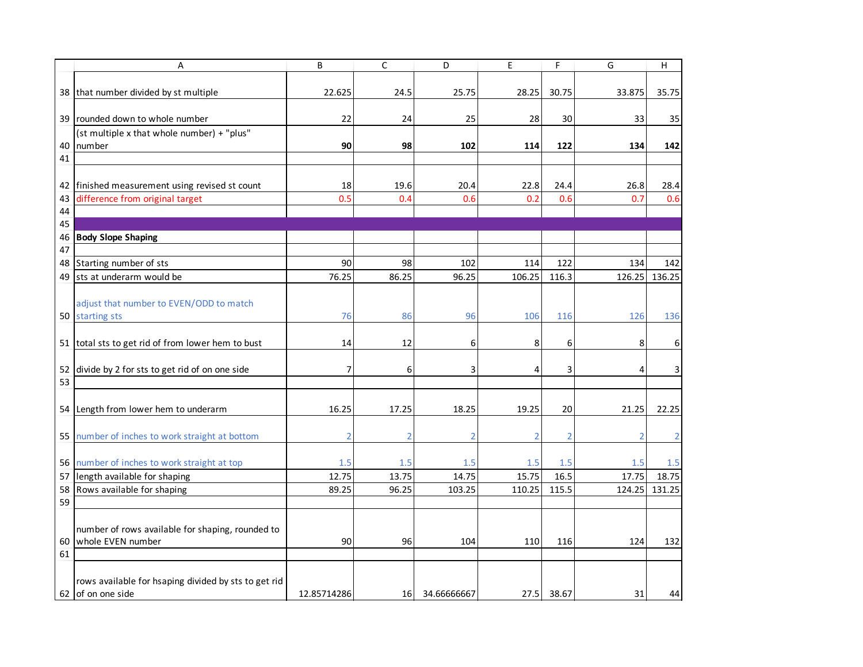| 38 that number divided by st multiple<br>22.625<br>24.5<br>25.75<br>28.25<br>30.75<br>33.875<br>39 rounded down to whole number<br>22<br>30<br>24<br>25<br>28<br>33<br>(st multiple x that whole number) + "plus"<br>90<br>98<br>102<br>122<br>40<br>number<br>114<br>134<br>41 | 35.75<br>28.4  |
|---------------------------------------------------------------------------------------------------------------------------------------------------------------------------------------------------------------------------------------------------------------------------------|----------------|
|                                                                                                                                                                                                                                                                                 | 35<br>142      |
|                                                                                                                                                                                                                                                                                 |                |
|                                                                                                                                                                                                                                                                                 |                |
|                                                                                                                                                                                                                                                                                 | 0.6            |
|                                                                                                                                                                                                                                                                                 |                |
|                                                                                                                                                                                                                                                                                 |                |
|                                                                                                                                                                                                                                                                                 |                |
|                                                                                                                                                                                                                                                                                 |                |
| 18<br>19.6<br>20.4<br>42<br>finished measurement using revised st count<br>22.8<br>24.4<br>26.8                                                                                                                                                                                 |                |
| difference from original target<br>0.5<br>0.4<br>0.6<br>0.2<br>0.6<br>0.7<br>43                                                                                                                                                                                                 |                |
| 44                                                                                                                                                                                                                                                                              |                |
| 45                                                                                                                                                                                                                                                                              |                |
| <b>Body Slope Shaping</b><br>46                                                                                                                                                                                                                                                 |                |
| 47                                                                                                                                                                                                                                                                              |                |
| Starting number of sts<br>90<br>98<br>48<br>102<br>114<br>122<br>134                                                                                                                                                                                                            | 142            |
| 76.25<br>96.25<br>49<br>sts at underarm would be<br>86.25<br>106.25<br>116.3<br>126.25                                                                                                                                                                                          | 136.25         |
|                                                                                                                                                                                                                                                                                 |                |
| adjust that number to EVEN/ODD to match                                                                                                                                                                                                                                         |                |
| 50 starting sts<br>76<br>86<br>96<br>106<br>126<br>116                                                                                                                                                                                                                          | 136            |
|                                                                                                                                                                                                                                                                                 |                |
| 51 total sts to get rid of from lower hem to bust<br>12<br>14<br>8<br>8<br>6<br>6                                                                                                                                                                                               | 6              |
|                                                                                                                                                                                                                                                                                 |                |
| 52<br>divide by 2 for sts to get rid of on one side<br>6<br>3<br>3<br>4<br>4                                                                                                                                                                                                    | 3              |
| 53                                                                                                                                                                                                                                                                              |                |
|                                                                                                                                                                                                                                                                                 |                |
| Length from lower hem to underarm<br>16.25<br>54<br>17.25<br>18.25<br>19.25<br>20<br>21.25                                                                                                                                                                                      | 22.25          |
|                                                                                                                                                                                                                                                                                 |                |
| 55 number of inches to work straight at bottom<br>$\overline{2}$<br>$\overline{2}$<br>2<br>$\overline{2}$<br>2<br>2                                                                                                                                                             | $\overline{2}$ |
|                                                                                                                                                                                                                                                                                 |                |
| 56 number of inches to work straight at top<br>1.5<br>1.5<br>1.5<br>1.5<br>1.5<br>1.5                                                                                                                                                                                           | $1.5\,$        |
| 12.75<br>13.75<br>14.75<br>15.75<br>17.75<br>57<br>length available for shaping<br>16.5                                                                                                                                                                                         | 18.75          |
| Rows available for shaping<br>96.25<br>103.25<br>110.25<br>115.5<br>58<br>89.25<br>124.25                                                                                                                                                                                       | 131.25         |
| 59                                                                                                                                                                                                                                                                              |                |
|                                                                                                                                                                                                                                                                                 |                |
| number of rows available for shaping, rounded to                                                                                                                                                                                                                                |                |
| 60<br>whole EVEN number<br>90<br>96<br>104<br>110<br>116<br>124                                                                                                                                                                                                                 | 132            |
| 61                                                                                                                                                                                                                                                                              |                |
|                                                                                                                                                                                                                                                                                 |                |
| rows available for hsaping divided by sts to get rid                                                                                                                                                                                                                            |                |
| 62 of on one side<br>16 34.66666667<br>27.5<br>12.85714286<br>38.67<br>31                                                                                                                                                                                                       | 44             |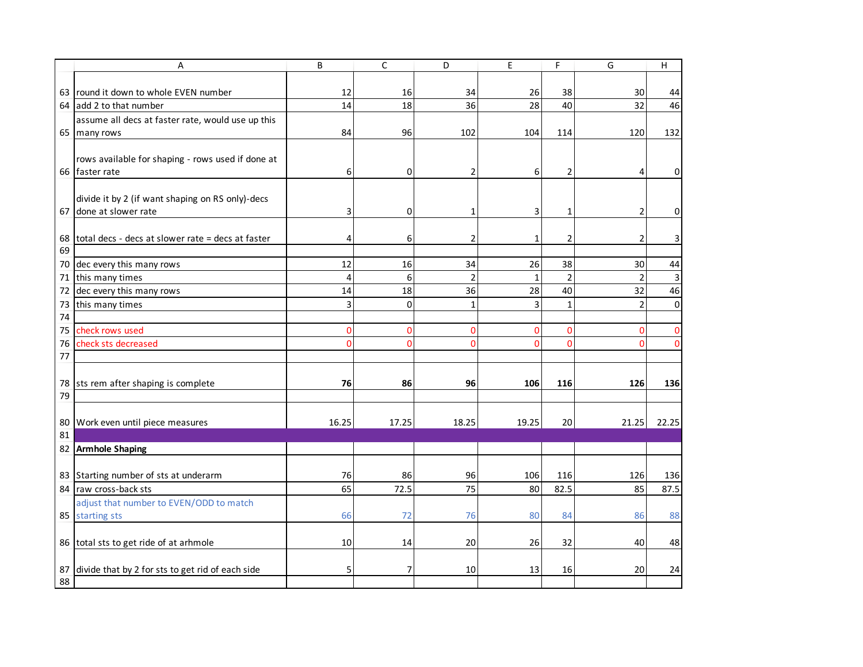|    | A                                                    | B     | $\mathsf{C}$ | D              | E            | F               | G              | Н           |
|----|------------------------------------------------------|-------|--------------|----------------|--------------|-----------------|----------------|-------------|
|    |                                                      |       |              |                |              |                 |                |             |
|    | 63 round it down to whole EVEN number                | 12    | 16           | 34             | 26           | 38              | 30             | 44          |
|    | 64 add 2 to that number                              | 14    | 18           | 36             | 28           | 40              | 32             | 46          |
|    | assume all decs at faster rate, would use up this    |       |              |                |              |                 |                |             |
|    | 65 many rows                                         | 84    | 96           | 102            | 104          | 114             | 120            | 132         |
|    |                                                      |       |              |                |              |                 |                |             |
|    | rows available for shaping - rows used if done at    |       |              |                |              |                 |                |             |
|    | 66 faster rate                                       | 6     | 0            |                | 6            | 2               |                | 0           |
|    |                                                      |       |              |                |              |                 |                |             |
|    | divide it by 2 (if want shaping on RS only)-decs     |       |              |                |              |                 |                |             |
|    | 67 done at slower rate                               | 3     | 0            | 1              | 3            | 1               | 2              | 0           |
|    |                                                      |       |              |                |              |                 |                |             |
|    | 68 total decs - decs at slower rate = decs at faster | 4     | 6            | 2              | 1            | 2               | 2              | 3           |
| 69 |                                                      |       |              |                |              |                 |                |             |
|    | 70 dec every this many rows                          | 12    | 16           | 34             | 26           | 38              | 30             | 44          |
|    | 71 this many times                                   | 4     | 6            | $\mathfrak{p}$ | $\mathbf{1}$ | $\overline{2}$  | $\mathfrak{p}$ | 3           |
|    | 72 dec every this many rows                          | 14    | 18           | 36             | 28           | 40              | 32             | 46          |
| 73 | this many times                                      | 3     | $\mathbf 0$  | $\mathbf{1}$   | 3            | $\mathbf{1}$    | $\overline{2}$ | 0           |
| 74 |                                                      |       |              |                |              |                 |                |             |
| 75 | check rows used                                      | 0     | $\Omega$     | $\Omega$       | $\Omega$     | $\Omega$        | 0              | 0           |
| 76 | check sts decreased                                  | 0     | $\mathbf{0}$ | $\Omega$       | $\Omega$     | $\Omega$        | $\Omega$       | $\mathbf 0$ |
| 77 |                                                      |       |              |                |              |                 |                |             |
|    |                                                      |       |              |                |              |                 |                |             |
|    | 78 sts rem after shaping is complete                 | 76    | 86           | 96             | 106          | 116             | 126            | 136         |
| 79 |                                                      |       |              |                |              |                 |                |             |
|    |                                                      |       |              |                |              |                 |                |             |
|    | 80 Work even until piece measures                    | 16.25 | 17.25        | 18.25          | 19.25        | 20 <sub>l</sub> | 21.25          | 22.25       |
| 81 |                                                      |       |              |                |              |                 |                |             |
|    | 82 Armhole Shaping                                   |       |              |                |              |                 |                |             |
|    |                                                      |       |              |                |              |                 |                |             |
|    | 83 Starting number of sts at underarm                | 76    | 86           | 96             | 106          | 116             | 126            | 136         |
|    | 84 raw cross-back sts                                | 65    | 72.5         | 75             | 80           | 82.5            | 85             | 87.5        |
|    | adjust that number to EVEN/ODD to match              |       |              |                |              |                 |                |             |
|    | 85 starting sts                                      | 66    | 72           | 76             | 80           | 84              | 86             | 88          |
|    |                                                      |       |              |                |              |                 |                |             |
|    | 86 total sts to get ride of at arhmole               | 10    | 14           | 20             | 26           | 32              | 40             | 48          |
|    |                                                      |       |              |                |              |                 |                |             |
| 87 | divide that by 2 for sts to get rid of each side     | 5     | 7            | 10             | 13           | 16              | 20             | 24          |
| 88 |                                                      |       |              |                |              |                 |                |             |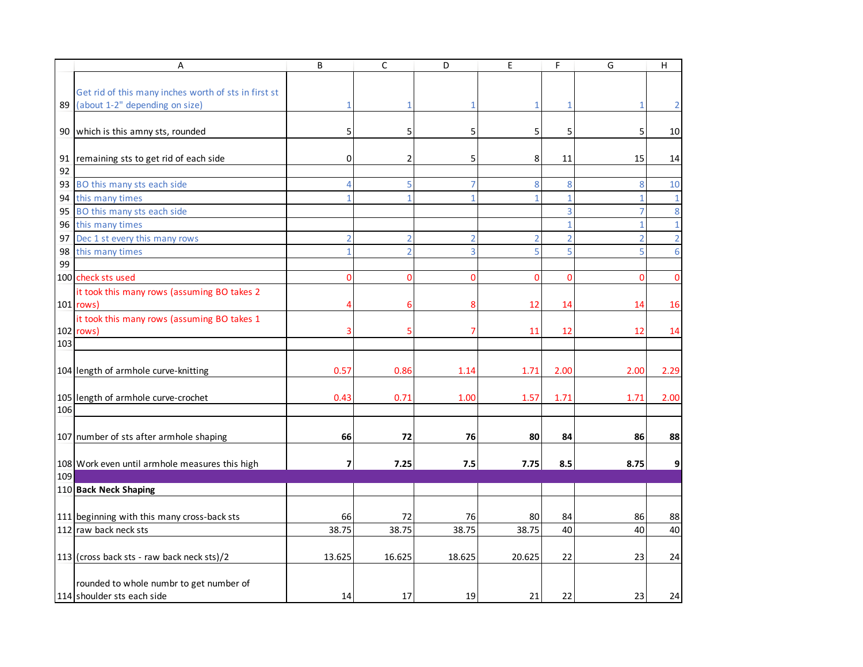|          | A                                                                                         | B              | $\mathsf{C}$                     | D                   | E        | F            | G                   | H              |
|----------|-------------------------------------------------------------------------------------------|----------------|----------------------------------|---------------------|----------|--------------|---------------------|----------------|
|          |                                                                                           |                |                                  |                     |          |              |                     |                |
|          | Get rid of this many inches worth of sts in first st<br>89 (about 1-2" depending on size) |                | 1                                | 1                   | 1        | -1           | 1                   | 2              |
|          |                                                                                           |                |                                  |                     |          |              |                     |                |
|          | 90 which is this amny sts, rounded                                                        | 5              | 5                                | 5                   | 5        | 5            | 5                   | 10             |
|          |                                                                                           |                |                                  |                     |          |              |                     |                |
| 91       | remaining sts to get rid of each side                                                     | 0              | $\overline{2}$                   | 5                   | 8        | 11           | 15                  | 14             |
| 92       |                                                                                           |                |                                  |                     |          |              |                     |                |
| 93       | BO this many sts each side                                                                | $\Delta$       | 5                                | 7                   | 8        | 8            | 8                   | $10\,$         |
| 94       | this many times                                                                           |                | 1                                | 1                   |          | $\mathbf{1}$ | $\mathbf{1}$        | $\mathbf{1}$   |
| 95       | BO this many sts each side                                                                |                |                                  |                     |          |              | $\overline{7}$      | 8              |
| 96       | this many times                                                                           | $\overline{2}$ |                                  |                     |          |              | $\mathbf{1}$        | $\mathbf 1$    |
| 97       | Dec 1 st every this many rows                                                             |                | $\overline{2}$<br>$\overline{2}$ | $\overline{2}$<br>3 | 2<br>5   | 2<br>5       | $\overline{2}$<br>5 | $\overline{2}$ |
| 98<br>99 | this many times                                                                           |                |                                  |                     |          |              |                     | $6\phantom{1}$ |
|          | 100 check sts used                                                                        | O              | $\Omega$                         | $\Omega$            | $\Omega$ | $\Omega$     | $\Omega$            | 0              |
|          | it took this many rows (assuming BO takes 2                                               |                |                                  |                     |          |              |                     |                |
|          | 101 rows)                                                                                 |                | 6                                | 8                   | 12       | 14           | 14                  | 16             |
|          | it took this many rows (assuming BO takes 1                                               |                |                                  |                     |          |              |                     |                |
|          | 102 rows)                                                                                 |                |                                  |                     | 11       | 12           | 12                  | 14             |
| 103      |                                                                                           |                |                                  |                     |          |              |                     |                |
|          |                                                                                           |                |                                  |                     |          |              |                     |                |
|          | 104 length of armhole curve-knitting                                                      | 0.57           | 0.86                             | 1.14                | 1.71     | 2.00         | 2.00                | 2.29           |
|          | 105 length of armhole curve-crochet                                                       | 0.43           | 0.71                             | 1.00                | 1.57     | 1.71         | 1.71                | 2.00           |
| 106      |                                                                                           |                |                                  |                     |          |              |                     |                |
|          |                                                                                           |                |                                  |                     |          |              |                     |                |
|          | 107 number of sts after armhole shaping                                                   | 66             | 72                               | 76                  | 80       | 84           | 86                  | 88             |
|          |                                                                                           |                |                                  |                     |          |              |                     |                |
| 109      | 108 Work even until armhole measures this high                                            | 7              | 7.25                             | 7.5                 | 7.75     | 8.5          | 8.75                | 9              |
|          | 110 Back Neck Shaping                                                                     |                |                                  |                     |          |              |                     |                |
|          |                                                                                           |                |                                  |                     |          |              |                     |                |
|          | 111 beginning with this many cross-back sts                                               | 66             | 72                               | 76                  | 80       | 84           | 86                  | 88             |
|          | 112 raw back neck sts                                                                     | 38.75          | 38.75                            | 38.75               | 38.75    | 40           | 40                  | 40             |
|          |                                                                                           |                |                                  |                     |          |              |                     |                |
|          | 113 (cross back sts - raw back neck sts)/2                                                | 13.625         | 16.625                           | 18.625              | 20.625   | 22           | 23                  | 24             |
|          |                                                                                           |                |                                  |                     |          |              |                     |                |
|          | rounded to whole numbr to get number of                                                   |                |                                  |                     |          |              |                     |                |
|          | 114 shoulder sts each side                                                                | 14             | 17                               | 19                  | 21       | 22           | 23                  | 24             |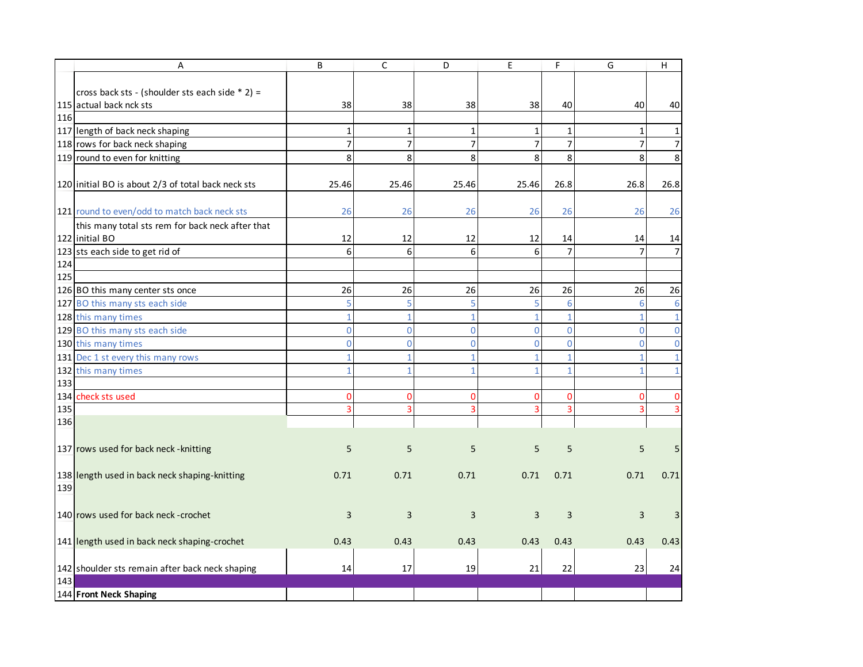|     | Α                                                  | B              | $\mathsf{C}$   | D              | E              | F              | G              | н              |
|-----|----------------------------------------------------|----------------|----------------|----------------|----------------|----------------|----------------|----------------|
|     |                                                    |                |                |                |                |                |                |                |
|     | cross back sts - (shoulder sts each side * 2) =    |                |                |                |                |                |                |                |
|     | 115 actual back nck sts                            | 38             | 38             | 38             | 38             | 40             | 40             | 40             |
| 116 |                                                    |                |                |                |                |                |                |                |
|     | 117 length of back neck shaping                    | $\mathbf{1}$   | $\mathbf 1$    | $\mathbf{1}$   | 1              | $\mathbf{1}$   | 1              | 1              |
|     | 118 rows for back neck shaping                     | $\overline{7}$ | $\overline{7}$ | $\overline{7}$ | $\overline{7}$ | $\overline{7}$ | $\overline{7}$ | $\overline{7}$ |
|     | 119 round to even for knitting                     | 8              | 8              | 8              | 8              | 8              | 8              | 8              |
|     |                                                    |                |                |                |                |                |                |                |
|     | 120 initial BO is about 2/3 of total back neck sts | 25.46          | 25.46          | 25.46          | 25.46          | 26.8           | 26.8           | 26.8           |
|     | 121 round to even/odd to match back neck sts       | 26             | 26             | 26             | 26             | 26             | 26             | 26             |
|     | this many total sts rem for back neck after that   |                |                |                |                |                |                |                |
|     | 122 initial BO                                     | 12             | 12             | 12             | 12             | 14             | 14             | 14             |
|     | 123 sts each side to get rid of                    | 6              | 6              | 6              | 6              | $\overline{7}$ |                | 7              |
| 124 |                                                    |                |                |                |                |                |                |                |
| 125 |                                                    |                |                |                |                |                |                |                |
|     | 126 BO this many center sts once                   | 26             | 26             | 26             | 26             | 26             | 26             | 26             |
|     | 127 BO this many sts each side                     | 5              | 5              | 5              | 5              | 6              | 6              | 6              |
|     | 128 this many times                                | 1              | $\mathbf{1}$   | 1              | 1              | $\mathbf{1}$   | 1              | $\mathbf{1}$   |
|     | 129 BO this many sts each side                     | $\overline{0}$ | $\overline{0}$ | $\Omega$       | $\Omega$       | $\mathbf{O}$   | $\Omega$       | $\mathbf 0$    |
|     | 130 this many times                                | 0              | $\overline{0}$ | $\Omega$       | $\Omega$       | $\Omega$       | $\Omega$       | 0              |
|     | 131 Dec 1 st every this many rows                  |                | $\mathbf{1}$   |                | 1              | $\mathbf{1}$   |                |                |
|     | 132 this many times                                |                | $\mathbf{1}$   |                |                |                |                |                |
| 133 |                                                    |                |                |                |                |                |                |                |
|     | 134 check sts used                                 | 0              | $\Omega$       | 0              | 0              | 0              | 0              | 0              |
| 135 |                                                    | 3              | 3              |                |                | 3              |                | 3              |
| 136 |                                                    |                |                |                |                |                |                |                |
|     |                                                    |                |                |                |                |                |                |                |
|     | 137 rows used for back neck - knitting             | 5              | 5              | 5              | 5              | 5              | 5              | 5              |
|     |                                                    |                |                |                |                |                |                |                |
| 139 | 138 length used in back neck shaping-knitting      | 0.71           | 0.71           | 0.71           | 0.71           | 0.71           | 0.71           | 0.71           |
|     |                                                    |                |                |                |                |                |                |                |
|     | 140 rows used for back neck-crochet                | 3              | 3              | 3              | 3              | 3              | 3              | 3              |
|     |                                                    |                |                |                |                |                |                |                |
|     | 141 length used in back neck shaping-crochet       | 0.43           | 0.43           | 0.43           | 0.43           | 0.43           | 0.43           | 0.43           |
|     |                                                    |                |                |                |                |                |                |                |
|     | 142 shoulder sts remain after back neck shaping    | 14             | 17             | 19             | 21             | 22             | 23             | 24             |
| 143 |                                                    |                |                |                |                |                |                |                |
|     | 144 Front Neck Shaping                             |                |                |                |                |                |                |                |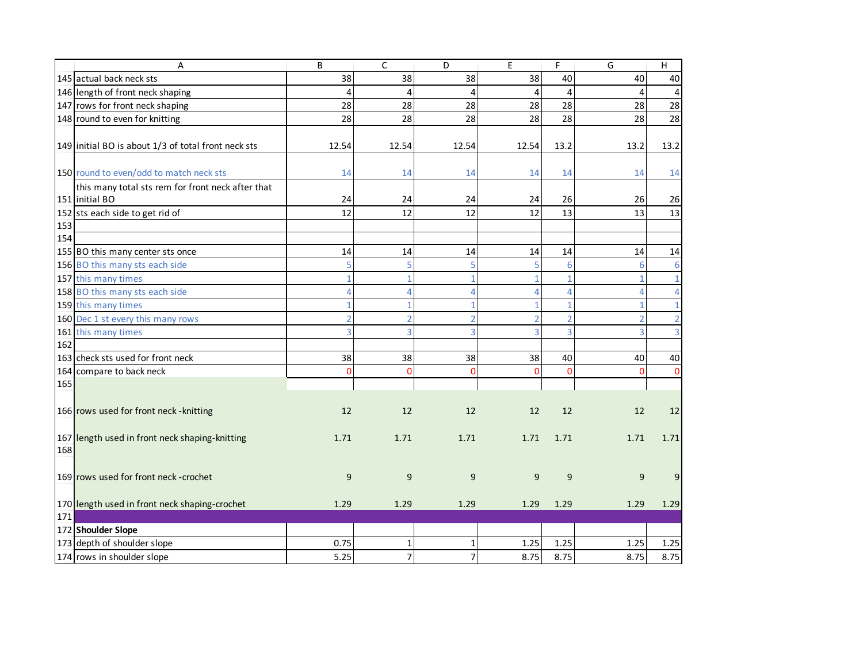|     | A                                                   | B              | $\mathsf{C}$   | D              | E        | F              | G              | H              |
|-----|-----------------------------------------------------|----------------|----------------|----------------|----------|----------------|----------------|----------------|
|     | 145 actual back neck sts                            | 38             | 38             | 38             | 38       | 40             | 40             | 40             |
|     | 146 length of front neck shaping                    | $\overline{4}$ | $\overline{4}$ | 4              | 4        | $\overline{4}$ | 4              | 4              |
|     | 147 rows for front neck shaping                     | 28             | 28             | 28             | 28       | 28             | 28             | 28             |
|     | 148 round to even for knitting                      | 28             | 28             | 28             | 28       | 28             | 28             | 28             |
|     |                                                     |                |                |                |          |                |                |                |
|     | 149 initial BO is about 1/3 of total front neck sts | 12.54          | 12.54          | 12.54          | 12.54    | 13.2           | 13.2           | 13.2           |
|     |                                                     |                |                |                |          |                |                |                |
|     | 150 round to even/odd to match neck sts             | 14             | 14             | 14             | 14       | 14             | 14             | 14             |
|     | this many total sts rem for front neck after that   |                |                |                |          |                |                |                |
|     | 151 initial BO                                      | 24             | 24             | 24             | 24       | 26             | 26             | 26             |
|     | 152 sts each side to get rid of                     | 12             | 12             | 12             | 12       | 13             | 13             | 13             |
| 153 |                                                     |                |                |                |          |                |                |                |
| 154 |                                                     |                |                |                |          |                |                |                |
|     | 155 BO this many center sts once                    | 14             | 14             | 14             | 14       | 14             | 14             | 14             |
|     | 156 BO this many sts each side                      | 5              | 5              |                |          | 6              |                | 6              |
|     | 157 this many times                                 | 1              | 1              | 1              |          | $\mathbf{1}$   |                | $\mathbf{1}$   |
|     | 158 BO this many sts each side                      | Δ              | $\overline{4}$ | 4              | 4        | 4              | 4              | $\overline{4}$ |
|     | 159 this many times                                 | 1              | $\mathbf{1}$   | 1              |          | $\mathbf{1}$   |                | $\mathbf{1}$   |
|     | 160 Dec 1 st every this many rows                   | $\overline{2}$ | $\overline{2}$ | $\overline{2}$ |          | $\overline{2}$ | $\overline{2}$ | $\overline{2}$ |
|     | 161 this many times                                 | 3              | 3              | 3              | 3        | $\overline{3}$ | 3              | 3 <sup>1</sup> |
| 162 |                                                     |                |                |                |          |                |                |                |
|     | 163 check sts used for front neck                   | 38             | 38             | 38             | 38       | 40             | 40             | 40             |
|     | 164 compare to back neck                            | $\Omega$       | $\Omega$       | $\Omega$       | $\Omega$ | $\mathbf{0}$   | $\Omega$       | $\mathbf{0}$   |
| 165 |                                                     |                |                |                |          |                |                |                |
|     |                                                     |                |                |                |          |                |                |                |
|     | 166 rows used for front neck - knitting             | 12             | 12             | 12             | 12       | 12             | 12             | 12             |
|     |                                                     |                |                |                |          |                |                |                |
|     | 167 length used in front neck shaping-knitting      | 1.71           | 1.71           | 1.71           | 1.71     | 1.71           | 1.71           | 1.71           |
| 168 |                                                     |                |                |                |          |                |                |                |
|     |                                                     |                |                |                |          |                |                |                |
|     | 169 rows used for front neck-crochet                | 9              | 9              | 9              | 9        | 9              | 9              | 9              |
|     |                                                     |                |                |                |          |                |                |                |
|     | 170 length used in front neck shaping-crochet       | 1.29           | 1.29           | 1.29           | 1.29     | 1.29           | 1.29           | 1.29           |
| 171 |                                                     |                |                |                |          |                |                |                |
|     | 172 Shoulder Slope                                  |                |                |                |          |                |                |                |
|     | 173 depth of shoulder slope                         | 0.75           | $\mathbf{1}$   | $\mathbf{1}$   | 1.25     | 1.25           | 1.25           | 1.25           |
|     | 174 rows in shoulder slope                          | 5.25           | $\overline{7}$ | 7 <sup>1</sup> | 8.75     | 8.75           | 8.75           | 8.75           |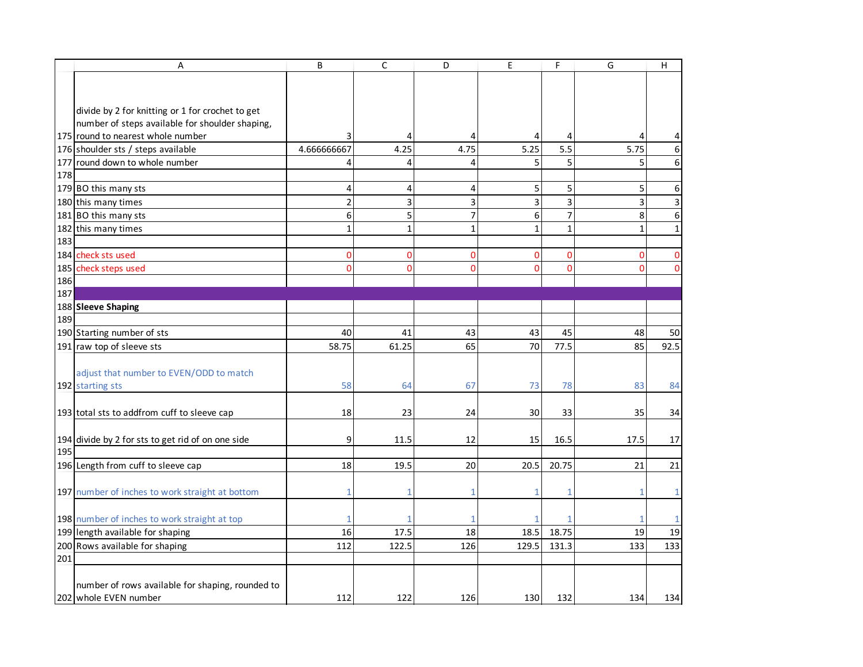|     | A                                                                         | B              | C            | D              | E              | F              | G            | H                       |
|-----|---------------------------------------------------------------------------|----------------|--------------|----------------|----------------|----------------|--------------|-------------------------|
|     |                                                                           |                |              |                |                |                |              |                         |
|     |                                                                           |                |              |                |                |                |              |                         |
|     | divide by 2 for knitting or 1 for crochet to get                          |                |              |                |                |                |              |                         |
|     | number of steps available for shoulder shaping,                           |                |              |                |                |                |              |                         |
|     | 175 round to nearest whole number                                         |                | 4            | 4              | 4              | 4              | 4            | 4                       |
|     | 176 shoulder sts / steps available                                        | 4.666666667    | 4.25         | 4.75           | 5.25           | 5.5            | 5.75         | 6                       |
|     | 177 round down to whole number                                            | 4              | 4            | 4              | 5              | 5              | 5            | 6                       |
| 178 |                                                                           |                |              |                |                |                |              |                         |
|     | 179 BO this many sts                                                      | 4              | 4            | 4              | 5              | 5              | 5            | 6                       |
|     | 180 this many times                                                       | $\overline{2}$ | 3            | 3              | 3              | 3              | 3            | $\overline{\mathbf{3}}$ |
|     | 181 BO this many sts                                                      | 6              | 5            | $\overline{7}$ | 6              | $\overline{7}$ | 8            | 6                       |
|     | 182 this many times                                                       | $\mathbf{1}$   | $\mathbf{1}$ | $\mathbf{1}$   | 1              | $\mathbf{1}$   | $\mathbf{1}$ | $\mathbf{1}$            |
| 183 |                                                                           |                |              |                |                |                |              |                         |
|     | 184 check sts used                                                        | 0              | 0            | $\Omega$       | 0              | $\Omega$       | 0            | $\mathbf 0$             |
|     | 185 check steps used                                                      | O              | 0            | $\mathbf 0$    | $\overline{0}$ | $\Omega$       | 0            | 0                       |
| 186 |                                                                           |                |              |                |                |                |              |                         |
| 187 |                                                                           |                |              |                |                |                |              |                         |
|     | 188 Sleeve Shaping                                                        |                |              |                |                |                |              |                         |
| 189 |                                                                           |                |              |                |                |                |              |                         |
|     | 190 Starting number of sts                                                | 40             | 41           | 43             | 43             | 45             | 48           | 50                      |
|     | 191 raw top of sleeve sts                                                 | 58.75          | 61.25        | 65             | 70             | 77.5           | 85           | 92.5                    |
|     |                                                                           |                |              |                |                |                |              |                         |
|     | adjust that number to EVEN/ODD to match                                   |                |              |                |                |                |              |                         |
|     | 192 starting sts                                                          | 58             | 64           | 67             | 73             | 78             | 83           | 84                      |
|     |                                                                           |                |              |                |                |                |              |                         |
|     | 193 total sts to addfrom cuff to sleeve cap                               | 18             | 23           | 24             | 30             | 33             | 35           | 34                      |
|     |                                                                           |                |              |                |                |                |              |                         |
|     | 194 divide by 2 for sts to get rid of on one side                         | 9              | 11.5         | 12             | 15             | 16.5           | 17.5         | 17                      |
| 195 |                                                                           |                |              |                |                |                |              |                         |
|     | 196 Length from cuff to sleeve cap                                        | 18             | 19.5         | 20             | 20.5           | 20.75          | 21           | 21                      |
|     |                                                                           |                |              |                |                |                |              |                         |
|     | 197 number of inches to work straight at bottom                           |                | 1            |                |                |                |              | $\mathbf{1}$            |
|     |                                                                           |                |              |                |                |                |              |                         |
|     | 198 number of inches to work straight at top                              |                |              |                |                |                |              | $\mathbf{1}$            |
|     | 199 length available for shaping                                          | 16             | 17.5         | 18             | 18.5           | 18.75          | 19           | 19                      |
|     | 200 Rows available for shaping                                            | 112            | 122.5        | 126            | 129.5          | 131.3          | 133          | 133                     |
| 201 |                                                                           |                |              |                |                |                |              |                         |
|     |                                                                           |                |              |                |                |                |              |                         |
|     | number of rows available for shaping, rounded to<br>202 whole EVEN number | 112            | 122          | 126            | 130            | 132            | 134          | 134                     |
|     |                                                                           |                |              |                |                |                |              |                         |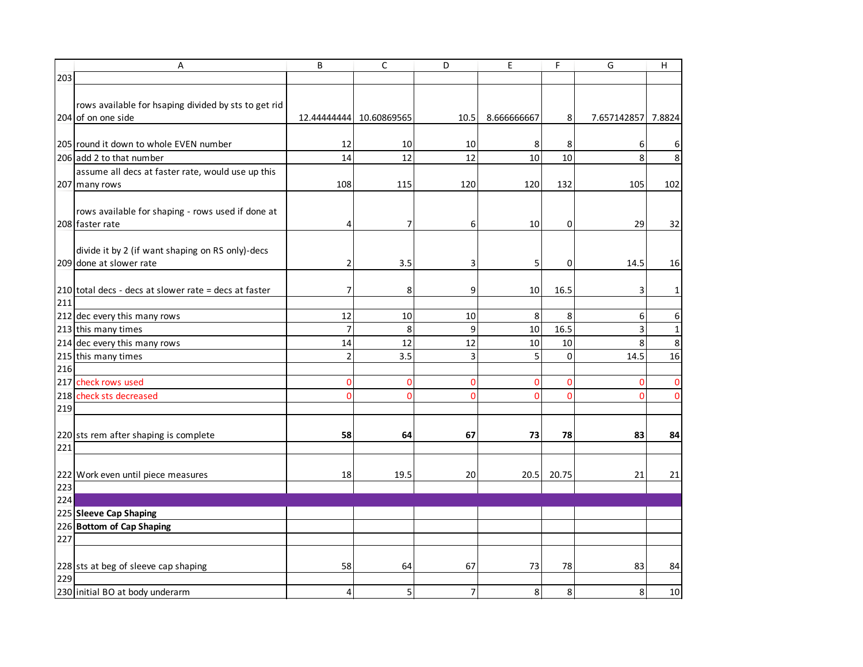|     | Α                                                                           | B              | C              | D              | E           | F         | G           | H            |
|-----|-----------------------------------------------------------------------------|----------------|----------------|----------------|-------------|-----------|-------------|--------------|
| 203 |                                                                             |                |                |                |             |           |             |              |
|     | rows available for hsaping divided by sts to get rid<br>204 of on one side  | 12.44444444    | 10.60869565    | 10.5           | 8.666666667 | 8         | 7.657142857 | 7.8824       |
|     |                                                                             |                |                |                |             |           |             |              |
|     | 205 round it down to whole EVEN number                                      | 12             | 10             | 10             | 8           | 8         | 6           | 6            |
|     | 206 add 2 to that number                                                    | 14             | 12             | 12             | 10          | 10        | 8           | 8            |
|     | assume all decs at faster rate, would use up this<br>207 many rows          | 108            | 115            | 120            | 120         | 132       | 105         | 102          |
|     | rows available for shaping - rows used if done at<br>208 faster rate        | 4              | $\overline{7}$ | 6              | 10          | 0         | 29          | 32           |
|     | divide it by 2 (if want shaping on RS only)-decs<br>209 done at slower rate | $\overline{2}$ | 3.5            | 3              | 5           | 0         | 14.5        | 16           |
| 211 | 210 total decs - decs at slower rate = decs at faster                       | 7              | 8              | 9              | 10          | 16.5      | 3           | $\mathbf{1}$ |
|     | 212 dec every this many rows                                                | 12             | 10             | 10             | 8           | 8         | 6           | 6            |
|     | 213 this many times                                                         | $\overline{7}$ | 8              | 9              | 10          | 16.5      | 3           | $\mathbf 1$  |
|     | 214 dec every this many rows                                                | 14             | 12             | 12             | 10          | $10\,$    | 8           | $\,8\,$      |
|     | 215 this many times                                                         | $\overline{2}$ | 3.5            | 3              | 5           | $\pmb{0}$ | 14.5        | 16           |
| 216 |                                                                             |                |                |                |             |           |             |              |
|     | 217 check rows used                                                         | $\mathbf 0$    | $\mathbf 0$    | $\Omega$       | 0           | $\Omega$  | 0           | $\mathbf 0$  |
|     | 218 check sts decreased                                                     | $\Omega$       | $\mathbf 0$    | $\mathbf{0}$   | n           | $\Omega$  | $\Omega$    | $\mathbf 0$  |
| 219 |                                                                             |                |                |                |             |           |             |              |
|     | 220 sts rem after shaping is complete                                       | 58             | 64             | 67             | 73          | 78        | 83          | 84           |
| 221 |                                                                             |                |                |                |             |           |             |              |
| 223 | 222 Work even until piece measures                                          | 18             | 19.5           | 20             | 20.5        | 20.75     | 21          | 21           |
| 224 |                                                                             |                |                |                |             |           |             |              |
|     | 225 Sleeve Cap Shaping                                                      |                |                |                |             |           |             |              |
|     | 226 Bottom of Cap Shaping                                                   |                |                |                |             |           |             |              |
| 227 |                                                                             |                |                |                |             |           |             |              |
|     |                                                                             |                |                |                |             |           |             |              |
|     | 228 sts at beg of sleeve cap shaping                                        | 58             | 64             | 67             | 73          | 78        | 83          | 84           |
| 229 |                                                                             | 4              |                | $\overline{7}$ |             |           |             |              |
|     | 230 initial BO at body underarm                                             |                | 5              |                | 8           | 8         | 8           | 10           |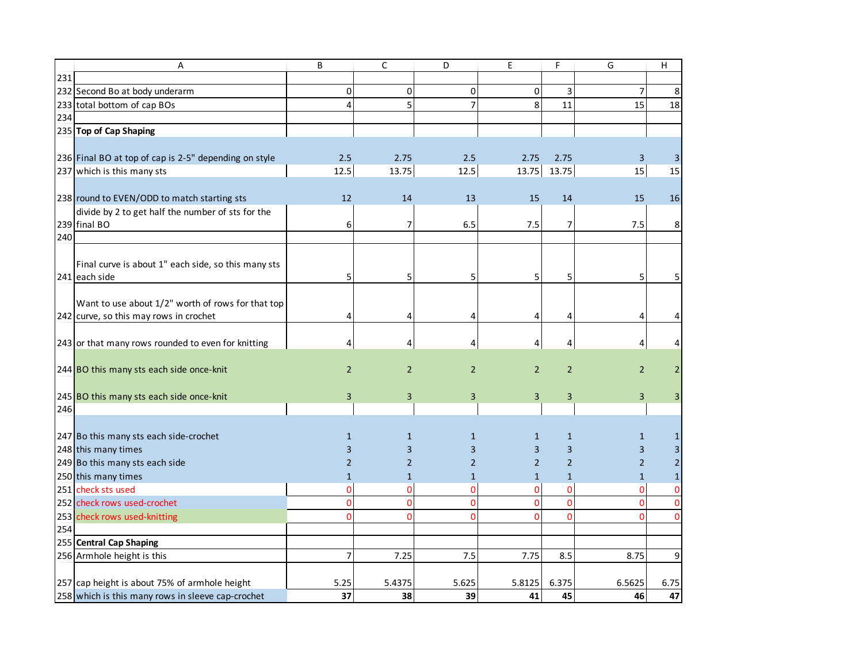|     | A                                                     | B              | C              | D              | E              | F              | G              | H              |
|-----|-------------------------------------------------------|----------------|----------------|----------------|----------------|----------------|----------------|----------------|
| 231 |                                                       |                |                |                |                |                |                |                |
|     | 232 Second Bo at body underarm                        | 0              | $\mathbf 0$    | $\mathbf{O}$   | 0              | 3              | $\overline{7}$ | 8              |
|     | 233 total bottom of cap BOs                           | 4              | 5              | $\overline{7}$ | 8              | 11             | 15             | 18             |
| 234 |                                                       |                |                |                |                |                |                |                |
|     | 235 Top of Cap Shaping                                |                |                |                |                |                |                |                |
|     |                                                       |                |                |                |                |                |                |                |
|     | 236 Final BO at top of cap is 2-5" depending on style | 2.5            | 2.75           | 2.5            | 2.75           | 2.75           | 3              | 3              |
|     | 237 which is this many sts                            | 12.5           | 13.75          | $12.5$         | 13.75          | 13.75          | 15             | 15             |
|     |                                                       |                |                |                |                |                |                |                |
|     | 238 round to EVEN/ODD to match starting sts           | 12             | 14             | 13             | 15             | 14             | 15             | 16             |
|     | divide by 2 to get half the number of sts for the     |                |                |                |                |                |                |                |
|     | 239 final BO                                          | 6              | 7              | 6.5            | 7.5            | 7              | 7.5            | 8              |
| 240 |                                                       |                |                |                |                |                |                |                |
|     |                                                       |                |                |                |                |                |                |                |
|     | Final curve is about 1" each side, so this many sts   |                |                |                |                |                |                |                |
|     | 241 each side                                         | 5              | 5              | 5              | 5              |                | 5              | 5              |
|     |                                                       |                |                |                |                |                |                |                |
|     | Want to use about 1/2" worth of rows for that top     |                |                |                |                |                |                |                |
|     | 242 curve, so this may rows in crochet                | 4              | 4              | 4              | 4              |                | 4              | 4              |
|     |                                                       |                |                |                |                |                |                |                |
|     | 243 or that many rows rounded to even for knitting    | 4              | 4              | 4              | 4              |                | 4              | 4              |
|     |                                                       |                |                |                |                |                |                |                |
|     | 244 BO this many sts each side once-knit              | $\overline{2}$ | $\overline{2}$ | $\overline{2}$ | $\overline{2}$ | $\overline{2}$ | 2              | $\overline{2}$ |
|     |                                                       |                |                |                |                |                |                |                |
|     | 245 BO this many sts each side once-knit              | 3              | 3              | 3              | 3              | 3              | $\overline{3}$ | 3 <sup>1</sup> |
| 246 |                                                       |                |                |                |                |                |                |                |
|     |                                                       |                |                |                |                |                |                |                |
|     | 247 Bo this many sts each side-crochet                | $\mathbf{1}$   | $\mathbf{1}$   | 1              | $\mathbf{1}$   | $\mathbf{1}$   | 1              | 1              |
|     | 248 this many times                                   | 3              | 3              | 3              | 3              | 3              | 3              | 3              |
|     | 249 Bo this many sts each side                        | $\overline{2}$ | $\overline{2}$ | 2              | $\overline{2}$ | $\overline{2}$ | $\overline{2}$ | $\overline{2}$ |
|     | 250 this many times                                   | $\mathbf{1}$   | 1              | 1              | $\mathbf{1}$   | $\mathbf{1}$   | $\mathbf{1}$   | $\mathbf{1}$   |
|     | 251 check sts used                                    | $\overline{0}$ | $\Omega$       | $\mathbf{O}$   | $\Omega$       | $\Omega$       | $\overline{0}$ | $\pmb{0}$      |
|     | 252 check rows used-crochet                           | $\overline{0}$ | $\Omega$       | $\mathbf{0}$   | $\overline{0}$ | $\Omega$       | $\overline{0}$ | $\pmb{0}$      |
|     | 253 check rows used-knitting                          | $\Omega$       | $\Omega$       | $\Omega$       | $\Omega$       |                | $\Omega$       | $\mathbf 0$    |
| 254 |                                                       |                |                |                |                |                |                |                |
|     | 255 Central Cap Shaping                               |                |                |                |                |                |                |                |
|     | 256 Armhole height is this                            | 7              | 7.25           | 7.5            | 7.75           | 8.5            | 8.75           | 9              |
|     |                                                       |                |                |                |                |                |                |                |
|     | 257 cap height is about 75% of armhole height         | 5.25           | 5.4375         | 5.625          | 5.8125         | 6.375          | 6.5625         | 6.75           |
|     | 258 which is this many rows in sleeve cap-crochet     | 37             | 38             | 39             | 41             | 45             | 46             | 47             |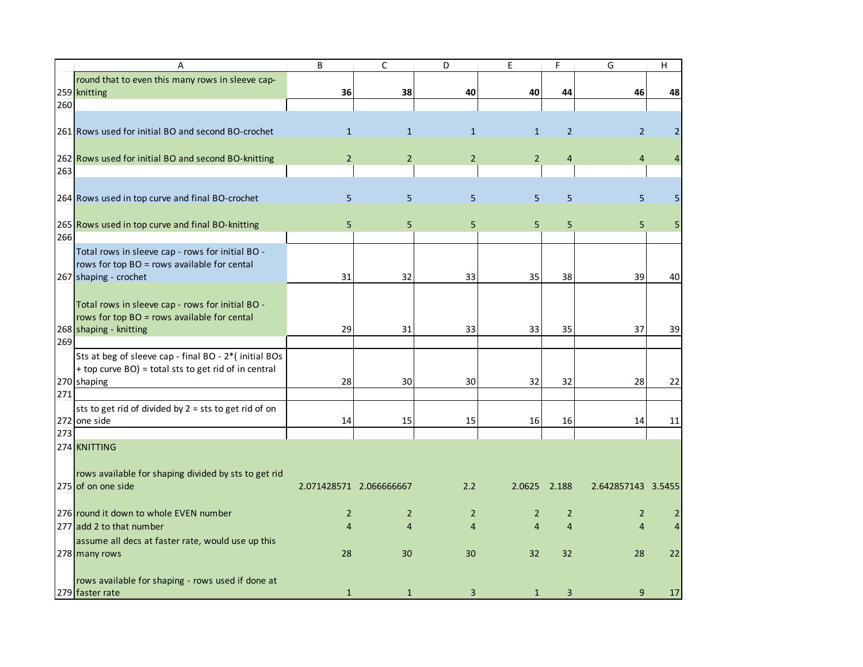|     | A                                                     | B              | C                       | D              | E              | F              | G                  | H              |
|-----|-------------------------------------------------------|----------------|-------------------------|----------------|----------------|----------------|--------------------|----------------|
|     | round that to even this many rows in sleeve cap-      |                |                         |                |                |                |                    |                |
|     | 259 knitting                                          | 36             | 38                      | 40             | 40             | 44             | 46                 | 48             |
| 260 |                                                       |                |                         |                |                |                |                    |                |
|     |                                                       |                |                         |                |                |                |                    |                |
|     | 261 Rows used for initial BO and second BO-crochet    | $\mathbf{1}$   | $\mathbf{1}$            | $\mathbf{1}$   | $\mathbf{1}$   | $\overline{2}$ | $\overline{2}$     | $\overline{2}$ |
|     |                                                       |                |                         |                |                |                |                    |                |
|     | 262 Rows used for initial BO and second BO-knitting   | $\overline{2}$ | $\overline{2}$          | $\overline{2}$ | $\overline{2}$ | 4              | 4                  | $\overline{4}$ |
| 263 |                                                       |                |                         |                |                |                |                    |                |
|     |                                                       |                |                         |                |                |                |                    |                |
|     | 264 Rows used in top curve and final BO-crochet       | 5              | 5                       | 5              | 5              | 5              | 5                  | 5              |
|     |                                                       |                |                         |                |                |                |                    |                |
|     | 265 Rows used in top curve and final BO-knitting      | 5              | 5                       | 5              | 5              | 5              | 5                  | 5              |
| 266 |                                                       |                |                         |                |                |                |                    |                |
|     | Total rows in sleeve cap - rows for initial BO -      |                |                         |                |                |                |                    |                |
|     | rows for top BO = rows available for cental           |                |                         |                |                |                |                    |                |
|     | 267 shaping - crochet                                 | 31             | 32                      | 33             | 35             | 38             | 39                 | 40             |
|     |                                                       |                |                         |                |                |                |                    |                |
|     | Total rows in sleeve cap - rows for initial BO -      |                |                         |                |                |                |                    |                |
|     | rows for top BO = rows available for cental           |                |                         |                |                |                |                    |                |
|     | 268 shaping - knitting                                | 29             | 31                      | 33             | 33             | 35             | 37                 | 39             |
| 269 |                                                       |                |                         |                |                |                |                    |                |
|     | Sts at beg of sleeve cap - final BO - 2*(initial BOs  |                |                         |                |                |                |                    |                |
|     | + top curve BO) = total sts to get rid of in central  |                |                         |                |                |                |                    |                |
|     | 270 shaping                                           | 28             | 30                      | 30             | 32             | 32             | 28                 | 22             |
| 271 |                                                       |                |                         |                |                |                |                    |                |
|     | sts to get rid of divided by 2 = sts to get rid of on |                |                         |                |                |                |                    |                |
|     | 272 one side                                          | 14             | 15                      | 15             | 16             | 16             | 14                 | 11             |
| 273 |                                                       |                |                         |                |                |                |                    |                |
|     | 274 KNITTING                                          |                |                         |                |                |                |                    |                |
|     |                                                       |                |                         |                |                |                |                    |                |
|     | rows available for shaping divided by sts to get rid  |                |                         |                |                |                |                    |                |
|     | 275 of on one side                                    |                | 2.071428571 2.066666667 | 2.2            | 2.0625         | 2.188          | 2.642857143 3.5455 |                |
|     |                                                       |                |                         |                |                |                |                    |                |
|     | 276 round it down to whole EVEN number                | $\overline{2}$ | $\overline{2}$          | 2              | $\overline{2}$ | $\overline{2}$ | 2                  | 2              |
|     | 277 add 2 to that number                              | $\overline{4}$ | 4                       | 4              | $\overline{4}$ | $\overline{4}$ | $\overline{4}$     | $\overline{4}$ |
|     | assume all decs at faster rate, would use up this     |                |                         |                |                |                |                    |                |
|     | 278 many rows                                         | 28             | 30                      | 30             | 32             | 32             | 28                 | 22             |
|     |                                                       |                |                         |                |                |                |                    |                |
|     | rows available for shaping - rows used if done at     |                |                         |                |                |                |                    |                |
|     | 279 faster rate                                       | $\mathbf{1}$   | $\mathbf{1}$            | 3              | 1              | 3              | 9                  | $17\,$         |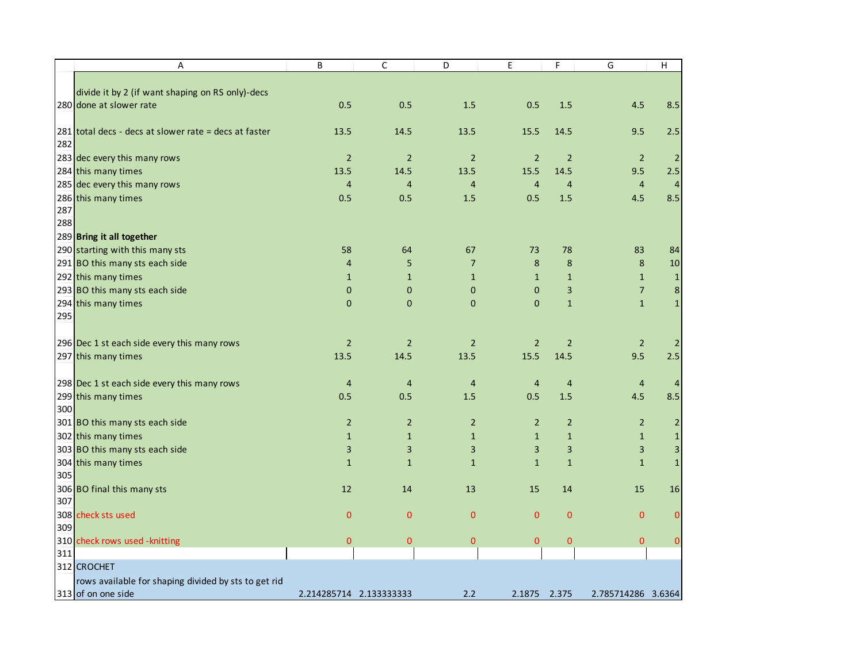|     | Α                                                     | B                       | $\mathsf C$    | D              | $\mathsf E$    | F              | G                  | H                       |
|-----|-------------------------------------------------------|-------------------------|----------------|----------------|----------------|----------------|--------------------|-------------------------|
|     |                                                       |                         |                |                |                |                |                    |                         |
|     | divide it by 2 (if want shaping on RS only)-decs      |                         |                |                |                |                |                    |                         |
|     | 280 done at slower rate                               | 0.5                     | 0.5            | 1.5            | 0.5            | 1.5            | 4.5                | 8.5                     |
|     | 281 total decs - decs at slower rate = decs at faster | 13.5                    | 14.5           | 13.5           | 15.5           | 14.5           | 9.5                | 2.5                     |
| 282 |                                                       |                         |                |                |                |                |                    |                         |
|     | 283 dec every this many rows                          | $\overline{2}$          | $\overline{2}$ | $\overline{2}$ | $\overline{2}$ | $\overline{2}$ | $\overline{2}$     | $\overline{2}$          |
|     | 284 this many times                                   | 13.5                    | 14.5           | 13.5           | 15.5           | 14.5           | 9.5                | 2.5                     |
|     | 285 dec every this many rows                          | $\overline{4}$          | $\overline{4}$ | $\overline{4}$ | $\overline{4}$ | $\overline{4}$ | 4                  | $\overline{4}$          |
|     | 286 this many times                                   | 0.5                     | 0.5            | 1.5            | 0.5            | 1.5            | 4.5                | 8.5                     |
| 287 |                                                       |                         |                |                |                |                |                    |                         |
| 288 |                                                       |                         |                |                |                |                |                    |                         |
|     | 289 Bring it all together                             |                         |                |                |                |                |                    |                         |
|     | 290 starting with this many sts                       | 58                      | 64             | 67             | 73             | 78             | 83                 | 84                      |
|     | 291 BO this many sts each side                        | $\overline{4}$          | 5              | $\overline{7}$ | 8              | 8              | 8                  | $10\,$                  |
|     | 292 this many times                                   | $\mathbf{1}$            | $\mathbf{1}$   | $\mathbf{1}$   | $\mathbf{1}$   | $\mathbf{1}$   | $\mathbf{1}$       | 1                       |
|     | 293 BO this many sts each side                        | $\mathbf 0$             | $\mathbf 0$    | $\mathbf 0$    | $\mathbf 0$    | 3              | $\overline{7}$     | $\bf 8$                 |
|     | 294 this many times                                   | $\pmb{0}$               | $\mathbf 0$    | $\mathbf{0}$   | $\mathbf 0$    | $\mathbf{1}$   | $\mathbf{1}$       | $\mathbf{1}$            |
| 295 |                                                       |                         |                |                |                |                |                    |                         |
|     |                                                       |                         |                |                |                |                |                    |                         |
|     | 296 Dec 1 st each side every this many rows           | $\overline{2}$          | $\overline{2}$ | $\overline{2}$ | $\overline{2}$ | $\overline{2}$ | $\overline{2}$     | $\overline{2}$          |
|     | 297 this many times                                   | 13.5                    | 14.5           | 13.5           | 15.5           | 14.5           | 9.5                | 2.5                     |
|     | 298 Dec 1 st each side every this many rows           | $\overline{a}$          | $\overline{4}$ | $\overline{4}$ | $\overline{4}$ | $\overline{4}$ | $\overline{4}$     | $\overline{4}$          |
|     | 299 this many times                                   | 0.5                     | 0.5            | 1.5            | 0.5            | 1.5            | 4.5                | 8.5                     |
| 300 |                                                       |                         |                |                |                |                |                    |                         |
|     | 301 BO this many sts each side                        | $\overline{2}$          | $\overline{2}$ | $\overline{2}$ | $\overline{2}$ | $\overline{2}$ | $\overline{2}$     | $\overline{2}$          |
|     | 302 this many times                                   | $\mathbf{1}$            | $\mathbf{1}$   | $\mathbf{1}$   | $1\,$          | $\mathbf{1}$   | $\mathbf{1}$       | $\mathbf{1}$            |
|     | 303 BO this many sts each side                        | 3                       | 3              | 3              | $\mathbf{3}$   | 3              | $\mathbf{3}$       | $\overline{\mathbf{3}}$ |
|     | 304 this many times                                   | $\mathbf{1}$            | $\mathbf{1}$   | $\mathbf{1}$   | $\mathbf{1}$   | $\mathbf{1}$   | $\mathbf{1}$       | $\mathbf 1$             |
| 305 |                                                       |                         |                |                |                |                |                    |                         |
|     | 306 BO final this many sts                            | 12                      | 14             | 13             | 15             | 14             | 15                 | 16                      |
| 307 |                                                       |                         |                |                |                |                |                    |                         |
|     | 308 check sts used                                    | $\mathbf{0}$            | $\mathbf 0$    | $\mathbf{0}$   | $\mathbf 0$    | $\mathbf{0}$   | $\mathbf{0}$       | $\mathbf{0}$            |
| 309 |                                                       |                         |                |                |                |                |                    |                         |
|     | 310 check rows used - knitting                        | $\mathbf{0}$            | $\pmb{0}$      | $\mathbf{0}$   | $\mathbf{0}$   | $\overline{0}$ | $\mathbf{0}$       | $\mathbf 0$             |
| 311 |                                                       |                         |                |                |                |                |                    |                         |
|     | 312 CROCHET                                           |                         |                |                |                |                |                    |                         |
|     | rows available for shaping divided by sts to get rid  |                         |                |                |                |                |                    |                         |
|     | 313 of on one side                                    | 2.214285714 2.133333333 |                | 2.2            | 2.1875         | 2.375          | 2.785714286 3.6364 |                         |